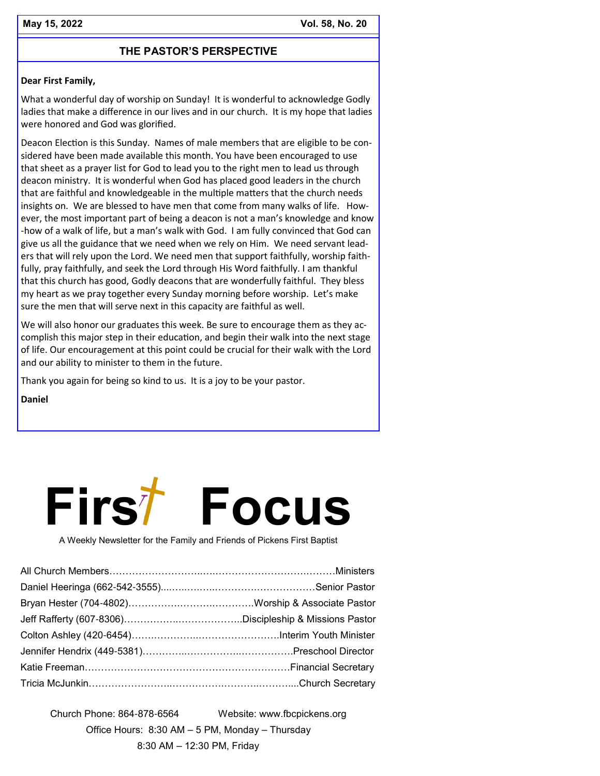# **THE PASTOR'S PERSPECTIVE**

#### **Dear First Family,**

What a wonderful day of worship on Sunday! It is wonderful to acknowledge Godly ladies that make a difference in our lives and in our church. It is my hope that ladies were honored and God was glorified.

Deacon Election is this Sunday. Names of male members that are eligible to be considered have been made available this month. You have been encouraged to use that sheet as a prayer list for God to lead you to the right men to lead us through deacon ministry. It is wonderful when God has placed good leaders in the church that are faithful and knowledgeable in the multiple matters that the church needs insights on. We are blessed to have men that come from many walks of life. However, the most important part of being a deacon is not a man's knowledge and know -how of a walk of life, but a man's walk with God. I am fully convinced that God can give us all the guidance that we need when we rely on Him. We need servant leaders that will rely upon the Lord. We need men that support faithfully, worship faithfully, pray faithfully, and seek the Lord through His Word faithfully. I am thankful that this church has good, Godly deacons that are wonderfully faithful. They bless my heart as we pray together every Sunday morning before worship. Let's make sure the men that will serve next in this capacity are faithful as well.

We will also honor our graduates this week. Be sure to encourage them as they accomplish this major step in their education, and begin their walk into the next stage of life. Our encouragement at this point could be crucial for their walk with the Lord and our ability to minister to them in the future.

Thank you again for being so kind to us. It is a joy to be your pastor.

**Daniel** 



A Weekly Newsletter for the Family and Friends of Pickens First Baptist

Church Phone: 864-878-6564 Website: www.fbcpickens.org Office Hours: 8:30 AM – 5 PM, Monday – Thursday 8:30 AM – 12:30 PM, Friday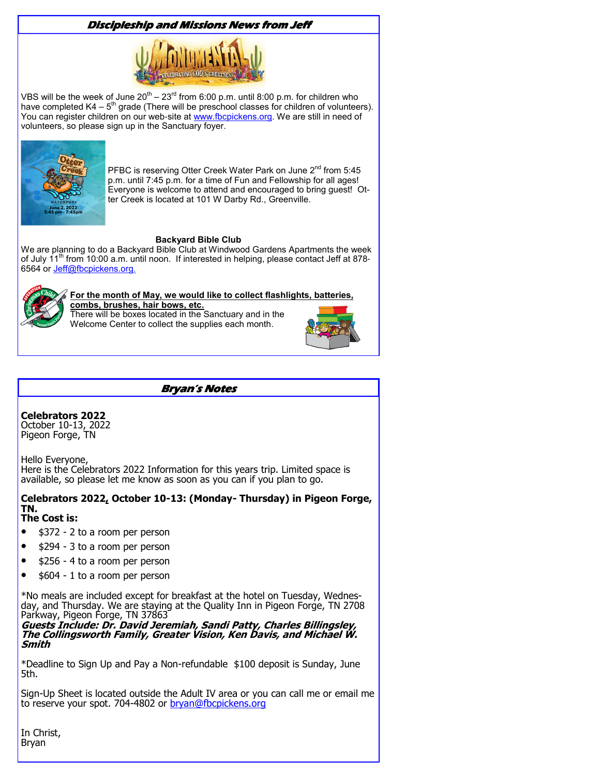# **Discipleship and Missions News from Jeff**



VBS will be the week of June 20<sup>th</sup> – 23<sup>rd</sup> from 6:00 p.m. until 8:00 p.m. for children who have completed  $K4 - 5<sup>th</sup>$  grade (There will be preschool classes for children of volunteers). You can register children on our web-site at www.fbcpickens.org. We are still in need of volunteers, so please sign up in the Sanctuary foyer.



PFBC is reserving Otter Creek Water Park on June  $2^{nd}$  from 5:45 p.m. until 7:45 p.m. for a time of Fun and Fellowship for all ages! Everyone is welcome to attend and encouraged to bring guest! Otter Creek is located at 101 W Darby Rd., Greenville.

#### **Backyard Bible Club**

We are planning to do a Backyard Bible Club at Windwood Gardens Apartments the week of July 11<sup>th</sup> from 10:00 a.m. until noon. If interested in helping, please contact Jeff at 878-6564 or Jeff@fbcpickens.org.



# **For the month of May, we would like to collect flashlights, batteries,**

**combs, brushes, hair bows, etc.**  There will be boxes located in the Sanctuary and in the Welcome Center to collect the supplies each month.



# **Bryan's Notes**

**Celebrators 2022**

October 10-13, 2022 Pigeon Forge, TN

Hello Everyone, Here is the Celebrators 2022 Information for this years trip. Limited space is available, so please let me know as soon as you can if you plan to go.

# **Celebrators 2022, October 10-13: (Monday- Thursday) in Pigeon Forge, TN.**

### **The Cost is:**

- \$372 2 to a room per person
- \$294 3 to a room per person
- \$256 4 to a room per person
- \$604 1 to a room per person

\*No meals are included except for breakfast at the hotel on Tuesday, Wednesday, and Thursday. We are staying at the Quality Inn in Pigeon Forge, TN 2708 Parkway, Pigeon Forge, TN 37863

**Guests Include: Dr. David Jeremiah, Sandi Patty, Charles Billingsley, The Collingsworth Family, Greater Vision, Ken Davis, and Michael W. Smith**

\*Deadline to Sign Up and Pay a Non-refundable \$100 deposit is Sunday, June 5th.

Sign-Up Sheet is located outside the Adult IV area or you can call me or email me to reserve your spot. 704-4802 or **bryan@fbcpickens.org** 

In Christ, Bryan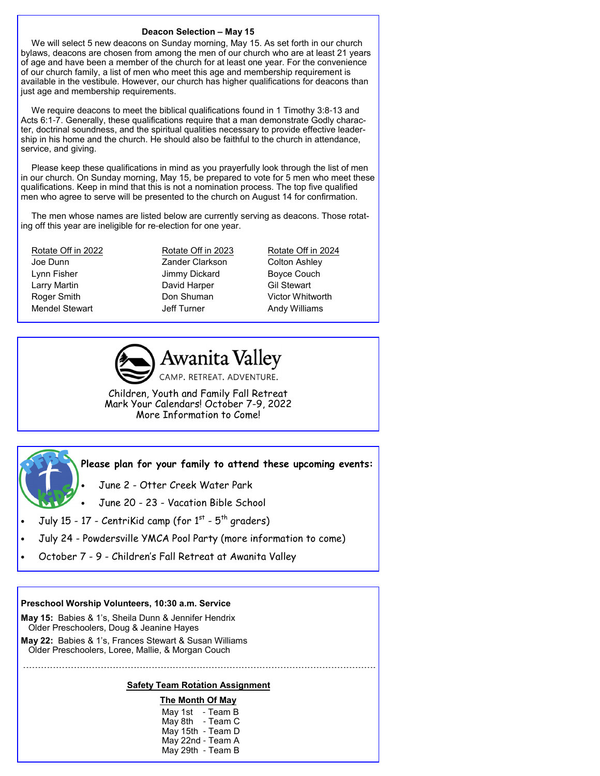#### **Deacon Selection – May 15**

We will select 5 new deacons on Sunday morning, May 15. As set forth in our church bylaws, deacons are chosen from among the men of our church who are at least 21 years of age and have been a member of the church for at least one year. For the convenience of our church family, a list of men who meet this age and membership requirement is available in the vestibule. However, our church has higher qualifications for deacons than just age and membership requirements.

We require deacons to meet the biblical qualifications found in 1 Timothy 3:8-13 and Acts 6:1-7. Generally, these qualifications require that a man demonstrate Godly character, doctrinal soundness, and the spiritual qualities necessary to provide effective leadership in his home and the church. He should also be faithful to the church in attendance, service, and giving.

Please keep these qualifications in mind as you prayerfully look through the list of men in our church. On Sunday morning, May 15, be prepared to vote for 5 men who meet these qualifications. Keep in mind that this is not a nomination process. The top five qualified men who agree to serve will be presented to the church on August 14 for confirmation.

The men whose names are listed below are currently serving as deacons. Those rotating off this year are ineligible for re-election for one year.

Joe Dunn Zander Clarkson Colton Ashley Lynn Fisher **Internal Studies Couch** Jimmy Dickard Boyce Couch Larry Martin **David Harper** Gil Stewart Roger Smith **Don Shuman** Victor Whitworth Mendel Stewart **In Turner** Jeff Turner **Andy Williams** 

Rotate Off in 2022 Rotate Off in 2023 Rotate Off in 2024



**Awanita Valley** CAMP. RETREAT. ADVENTURE.

Children, Youth and Family Fall Retreat Mark Your Calendars! October 7-9, 2022 More Information to Come!



**Please plan for your family to attend these upcoming events:** 

- June 2 Otter Creek Water Park
- June 20 23 Vacation Bible School
- July 15 17 CentriKid camp (for  $1^{st}$   $5^{th}$  graders)
- July 24 Powdersville YMCA Pool Party (more information to come)
- October 7 9 Children's Fall Retreat at Awanita Valley

#### **Preschool Worship Volunteers, 10:30 a.m. Service**

- **May 15:** Babies & 1's, Sheila Dunn & Jennifer Hendrix Older Preschoolers, Doug & Jeanine Hayes
- **May 22:** Babies & 1's, Frances Stewart & Susan Williams
- Older Preschoolers, Loree, Mallie, & Morgan Couch **- - - - - - - - - - - - - - - - - - - - - - - - - - - - - - - - - - - - - - - - - - - - - - - - - - - - - - - - - - - - - - - - - - - - - - - - - - - - - - - - - - - - - - - - - - - - - - - - - - - - - - - - - - - - - - - - - - - - - -**

#### **Safety Team Rotation Assignment**

**The Month Of May** May 1st - Team B May 8th - Team C May 15th - Team D May 22nd - Team A May 29th - Team B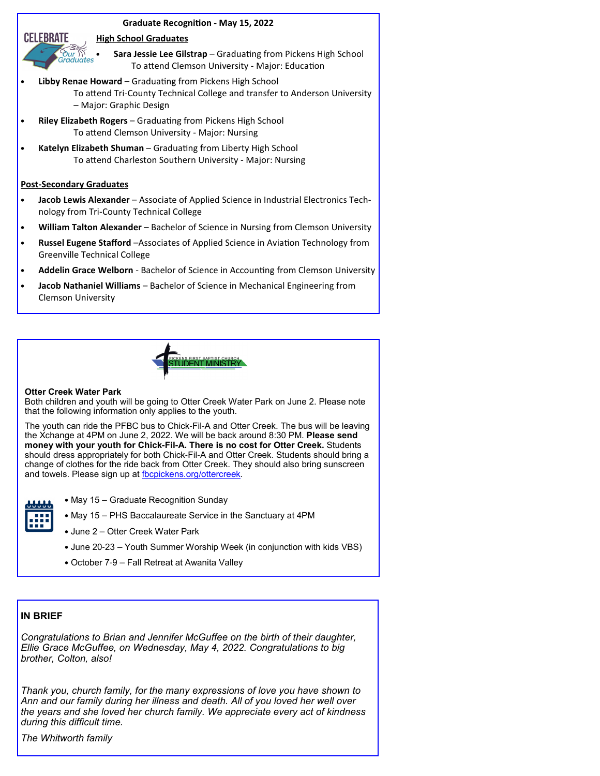#### **Graduate Recognition - May 15, 2022**

#### **High School Graduates**



- **Libby Renae Howard** Graduating from Pickens High School To attend Tri-County Technical College and transfer to Anderson University – Major: Graphic Design
- **Riley Elizabeth Rogers** Graduating from Pickens High School To attend Clemson University - Major: Nursing
- **Katelyn Elizabeth Shuman** Graduating from Liberty High School To attend Charleston Southern University - Major: Nursing

#### **Post-Secondary Graduates**

our<br>Traduates

**CELEBRATE** 

- **Jacob Lewis Alexander**  Associate of Applied Science in Industrial Electronics Technology from Tri-County Technical College
- **William Talton Alexander**  Bachelor of Science in Nursing from Clemson University
- **Russel Eugene Stafford** -Associates of Applied Science in Aviation Technology from Greenville Technical College
- Addelin Grace Welborn Bachelor of Science in Accounting from Clemson University
- **Jacob Nathaniel Williams**  Bachelor of Science in Mechanical Engineering from Clemson University



#### **Otter Creek Water Park**

Both children and youth will be going to Otter Creek Water Park on June 2. Please note that the following information only applies to the youth.

The youth can ride the PFBC bus to Chick-Fil-A and Otter Creek. The bus will be leaving the Xchange at 4PM on June 2, 2022. We will be back around 8:30 PM. **Please send money with your youth for Chick-Fil-A. There is no cost for Otter Creek.** Students should dress appropriately for both Chick-Fil-A and Otter Creek. Students should bring a change of clothes for the ride back from Otter Creek. They should also bring sunscreen and towels. Please sign up at fbcpickens.org/ottercreek.

- May 15 Graduate Recognition Sunday
- 
- 
- May 15 PHS Baccalaureate Service in the Sanctuary at 4PM
- June 2 Otter Creek Water Park
- June 20-23 Youth Summer Worship Week (in conjunction with kids VBS)
- October 7-9 Fall Retreat at Awanita Valley

#### **IN BRIEF**

*Congratulations to Brian and Jennifer McGuffee on the birth of their daughter, Ellie Grace McGuffee, on Wednesday, May 4, 2022. Congratulations to big brother, Colton, also!*

*Thank you, church family, for the many expressions of love you have shown to Ann and our family during her illness and death. All of you loved her well over the years and she loved her church family. We appreciate every act of kindness during this difficult time.*

*The Whitworth family*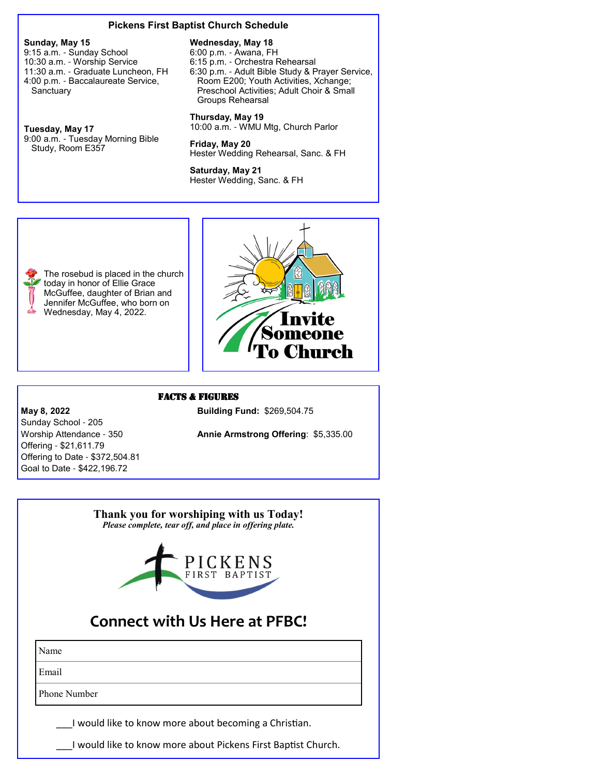#### **Pickens First Baptist Church Schedule**

**Sunday, May 15**

9:15 a.m. - Sunday School 10:30 a.m. - Worship Service 11:30 a.m. - Graduate Luncheon, FH 4:00 p.m. - Baccalaureate Service, **Sanctuary** 

**Tuesday, May 17** 9:00 a.m. - Tuesday Morning Bible Study, Room E357

today in honor of Ellie Grace

Jennifer McGuffee, who born on Wednesday, May 4, 2022.

#### **Wednesday, May 18**

6:00 p.m. - Awana, FH 6:15 p.m. - Orchestra Rehearsal 6:30 p.m. - Adult Bible Study & Prayer Service, Room E200; Youth Activities, Xchange; Preschool Activities; Adult Choir & Small Groups Rehearsal

**Thursday, May 19** 10:00 a.m. - WMU Mtg, Church Parlor

**Friday, May 20** Hester Wedding Rehearsal, Sanc. & FH

**Saturday, May 21** Hester Wedding, Sanc. & FH



#### FACTS & FIGURES

Worship Attendance - 350 **Annie Armstrong Offering**: \$5,335.00

**May 8, 2022 Building Fund: \$269,504.75** Sunday School - 205 Offering - \$21,611.79 Offering to Date - \$372,504.81 Goal to Date - \$422,196.72

# **Thank you for worshiping with us Today!** *Please complete, tear off, and place in offering plate.* **Connect with Us Here at PFBC!**

Name

Email

Phone Number

I would like to know more about becoming a Christian.

I would like to know more about Pickens First Baptist Church.